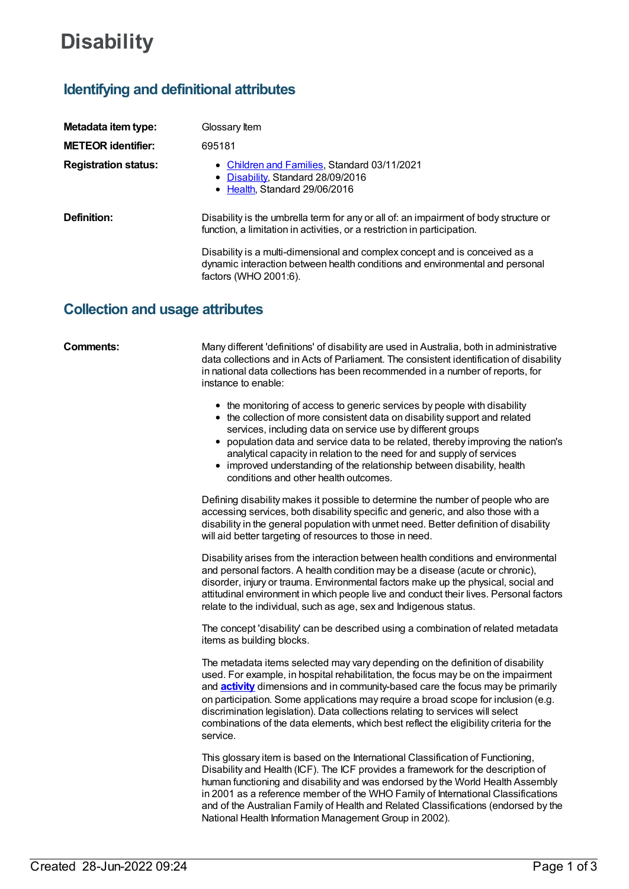# **Disability**

## **Identifying and definitional attributes**

| Metadata item type:         | Glossary Item                                                                                                                                                                        |
|-----------------------------|--------------------------------------------------------------------------------------------------------------------------------------------------------------------------------------|
| <b>METEOR identifier:</b>   | 695181                                                                                                                                                                               |
| <b>Registration status:</b> | • Children and Families, Standard 03/11/2021<br>• Disability, Standard 28/09/2016<br>• Health, Standard 29/06/2016                                                                   |
| Definition:                 | Disability is the umbrella term for any or all of: an impairment of body structure or<br>function, a limitation in activities, or a restriction in participation.                    |
|                             | Disability is a multi-dimensional and complex concept and is conceived as a<br>dynamic interaction between health conditions and environmental and personal<br>factors (WHO 2001:6). |

### **Collection and usage attributes**

**Comments:** Many different 'definitions' of disability are used in Australia, both in administrative data collections and in Acts of Parliament. The consistent identification of disability in national data collections has been recommended in a number of reports, for instance to enable:

- the monitoring of access to generic services by people with disability
- the collection of more consistent data on disability support and related services, including data on service use by different groups
- $\bullet$ population data and service data to be related, thereby improving the nation's analytical capacity in relation to the need for and supply of services
- improved understanding of the relationship between disability, health conditions and other health outcomes.

Defining disability makes it possible to determine the number of people who are accessing services, both disability specific and generic, and also those with a disability in the general population with unmet need. Better definition of disability will aid better targeting of resources to those in need.

Disability arises from the interaction between health conditions and environmental and personal factors. A health condition may be a disease (acute or chronic), disorder, injury or trauma. Environmental factors make up the physical, social and attitudinal environment in which people live and conduct their lives. Personal factors relate to the individual, such as age, sex and Indigenous status.

The concept 'disability' can be described using a combination of related metadata items as building blocks.

The metadata items selected may vary depending on the definition of disability used. For example, in hospital rehabilitation, the focus may be on the impairment and **[activity](https://meteor.aihw.gov.au/content/327296)** dimensions and in community-based care the focus may be primarily on participation. Some applications may require a broad scope for inclusion (e.g. discrimination legislation). Data collections relating to services will select combinations of the data elements, which best reflect the eligibility criteria for the service.

This glossary item is based on the International Classification of Functioning, Disability and Health (ICF). The ICF provides a framework for the description of human functioning and disability and was endorsed by the World Health Assembly in 2001 as a reference member of the WHO Family of International Classifications and of the Australian Family of Health and Related Classifications (endorsed by the National Health Information Management Group in 2002).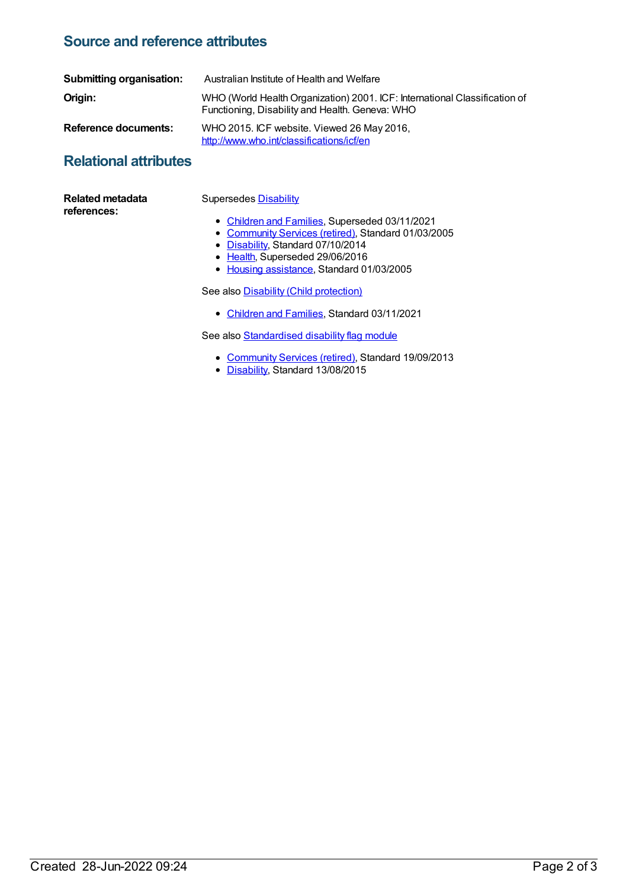## **Source and reference attributes**

| Submitting organisation: | Australian Institute of Health and Welfare                                                                                    |
|--------------------------|-------------------------------------------------------------------------------------------------------------------------------|
| Origin:                  | WHO (World Health Organization) 2001. ICF: International Classification of<br>Functioning, Disability and Health. Geneva: WHO |
| Reference documents:     | WHO 2015. ICF website. Viewed 26 May 2016,<br>http://www.who.int/classifications/icf/en                                       |

## **Relational attributes**

| <b>Related metadata</b><br>references: | <b>Supersedes Disability</b>                        |
|----------------------------------------|-----------------------------------------------------|
|                                        | • Children and Families, Superseded 03/11/2021      |
|                                        | • Community Services (retired), Standard 01/03/2005 |
|                                        | • Disability, Standard 07/10/2014                   |
|                                        | • Health, Superseded 29/06/2016                     |
|                                        | • Housing assistance, Standard 01/03/2005           |
|                                        | See also Disability (Child protection)              |

See also **Disability** (Child [protection\)](https://meteor.aihw.gov.au/content/748838)

• [Children](https://meteor.aihw.gov.au/RegistrationAuthority/17) and Families, Standard 03/11/2021

See also **[Standardised](https://meteor.aihw.gov.au/content/521050) disability flag module** 

- [Community](https://meteor.aihw.gov.au/RegistrationAuthority/1) Services (retired), Standard 19/09/2013
- [Disability](https://meteor.aihw.gov.au/RegistrationAuthority/16), Standard 13/08/2015